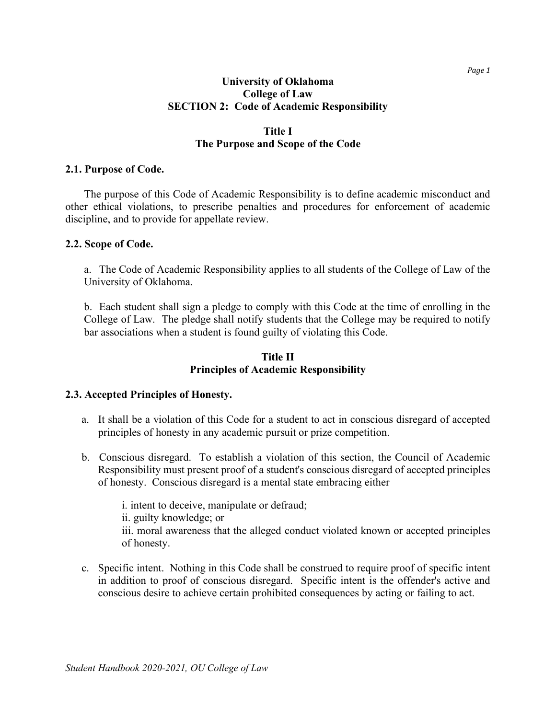#### **University of Oklahoma College of Law SECTION 2: Code of Academic Responsibility**

#### **Title I The Purpose and Scope of the Code**

#### **2.1. Purpose of Code.**

The purpose of this Code of Academic Responsibility is to define academic misconduct and other ethical violations, to prescribe penalties and procedures for enforcement of academic discipline, and to provide for appellate review.

#### **2.2. Scope of Code.**

a. The Code of Academic Responsibility applies to all students of the College of Law of the University of Oklahoma.

b. Each student shall sign a pledge to comply with this Code at the time of enrolling in the College of Law. The pledge shall notify students that the College may be required to notify bar associations when a student is found guilty of violating this Code.

#### **Title II Principles of Academic Responsibility**

#### **2.3. Accepted Principles of Honesty.**

- a. It shall be a violation of this Code for a student to act in conscious disregard of accepted principles of honesty in any academic pursuit or prize competition.
- b. Conscious disregard. To establish a violation of this section, the Council of Academic Responsibility must present proof of a student's conscious disregard of accepted principles of honesty. Conscious disregard is a mental state embracing either

i. intent to deceive, manipulate or defraud; ii. guilty knowledge; or iii. moral awareness that the alleged conduct violated known or accepted principles of honesty.

c. Specific intent. Nothing in this Code shall be construed to require proof of specific intent in addition to proof of conscious disregard. Specific intent is the offender's active and conscious desire to achieve certain prohibited consequences by acting or failing to act.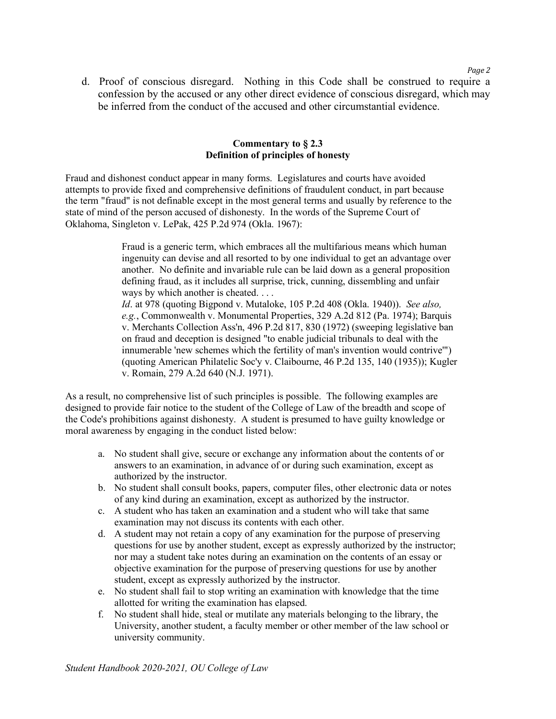d. Proof of conscious disregard. Nothing in this Code shall be construed to require a confession by the accused or any other direct evidence of conscious disregard, which may be inferred from the conduct of the accused and other circumstantial evidence.

#### **Commentary to § 2.3 Definition of principles of honesty**

Fraud and dishonest conduct appear in many forms. Legislatures and courts have avoided attempts to provide fixed and comprehensive definitions of fraudulent conduct, in part because the term "fraud" is not definable except in the most general terms and usually by reference to the state of mind of the person accused of dishonesty. In the words of the Supreme Court of Oklahoma, Singleton v. LePak, 425 P.2d 974 (Okla. 1967):

> Fraud is a generic term, which embraces all the multifarious means which human ingenuity can devise and all resorted to by one individual to get an advantage over another. No definite and invariable rule can be laid down as a general proposition defining fraud, as it includes all surprise, trick, cunning, dissembling and unfair ways by which another is cheated. . . .

*Id*. at 978 (quoting Bigpond v. Mutaloke, 105 P.2d 408 (Okla. 1940)). *See also, e.g.*, Commonwealth v. Monumental Properties, 329 A.2d 812 (Pa. 1974); Barquis v. Merchants Collection Ass'n, 496 P.2d 817, 830 (1972) (sweeping legislative ban on fraud and deception is designed "to enable judicial tribunals to deal with the innumerable 'new schemes which the fertility of man's invention would contrive'") (quoting American Philatelic Soc'y v. Claibourne, 46 P.2d 135, 140 (1935)); Kugler v. Romain, 279 A.2d 640 (N.J. 1971).

As a result, no comprehensive list of such principles is possible. The following examples are designed to provide fair notice to the student of the College of Law of the breadth and scope of the Code's prohibitions against dishonesty. A student is presumed to have guilty knowledge or moral awareness by engaging in the conduct listed below:

- a. No student shall give, secure or exchange any information about the contents of or answers to an examination, in advance of or during such examination, except as authorized by the instructor.
- b. No student shall consult books, papers, computer files, other electronic data or notes of any kind during an examination, except as authorized by the instructor.
- c. A student who has taken an examination and a student who will take that same examination may not discuss its contents with each other.
- d. A student may not retain a copy of any examination for the purpose of preserving questions for use by another student, except as expressly authorized by the instructor; nor may a student take notes during an examination on the contents of an essay or objective examination for the purpose of preserving questions for use by another student, except as expressly authorized by the instructor.
- e. No student shall fail to stop writing an examination with knowledge that the time allotted for writing the examination has elapsed.
- f. No student shall hide, steal or mutilate any materials belonging to the library, the University, another student, a faculty member or other member of the law school or university community.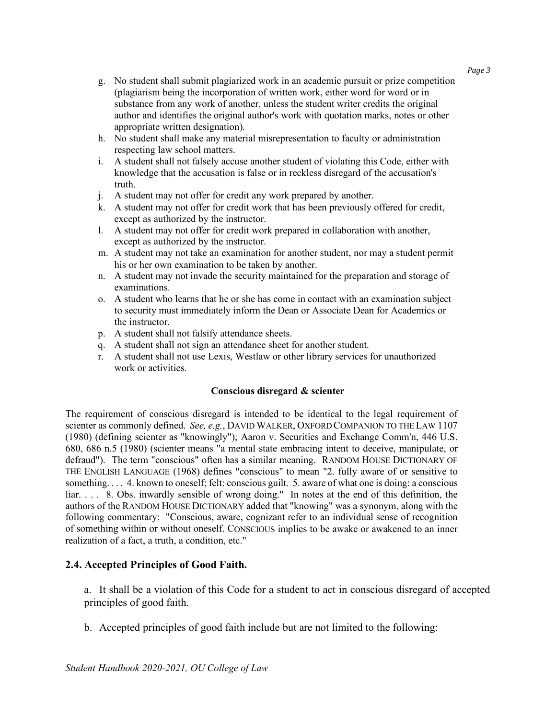- g. No student shall submit plagiarized work in an academic pursuit or prize competition (plagiarism being the incorporation of written work, either word for word or in substance from any work of another, unless the student writer credits the original author and identifies the original author's work with quotation marks, notes or other appropriate written designation).
- h. No student shall make any material misrepresentation to faculty or administration respecting law school matters.
- i. A student shall not falsely accuse another student of violating this Code, either with knowledge that the accusation is false or in reckless disregard of the accusation's truth.
- j. A student may not offer for credit any work prepared by another.
- k. A student may not offer for credit work that has been previously offered for credit, except as authorized by the instructor.
- l. A student may not offer for credit work prepared in collaboration with another, except as authorized by the instructor.
- m. A student may not take an examination for another student, nor may a student permit his or her own examination to be taken by another.
- n. A student may not invade the security maintained for the preparation and storage of examinations.
- o. A student who learns that he or she has come in contact with an examination subject to security must immediately inform the Dean or Associate Dean for Academics or the instructor.
- p. A student shall not falsify attendance sheets.
- q. A student shall not sign an attendance sheet for another student.
- r. A student shall not use Lexis, Westlaw or other library services for unauthorized work or activities.

#### **Conscious disregard & scienter**

The requirement of conscious disregard is intended to be identical to the legal requirement of scienter as commonly defined. *See, e.g.*, DAVID WALKER, OXFORD COMPANION TO THE LAW 1107 (1980) (defining scienter as "knowingly"); Aaron v. Securities and Exchange Comm'n, 446 U.S. 680, 686 n.5 (1980) (scienter means "a mental state embracing intent to deceive, manipulate, or defraud"). The term "conscious" often has a similar meaning. RANDOM HOUSE DICTIONARY OF THE ENGLISH LANGUAGE (1968) defines "conscious" to mean "2. fully aware of or sensitive to something. . . . 4. known to oneself; felt: conscious guilt. 5. aware of what one is doing: a conscious liar. . . . 8. Obs. inwardly sensible of wrong doing." In notes at the end of this definition, the authors of the RANDOM HOUSE DICTIONARY added that "knowing" was a synonym, along with the following commentary: "Conscious, aware, cognizant refer to an individual sense of recognition of something within or without oneself. CONSCIOUS implies to be awake or awakened to an inner realization of a fact, a truth, a condition, etc."

#### **2.4. Accepted Principles of Good Faith.**

a. It shall be a violation of this Code for a student to act in conscious disregard of accepted principles of good faith.

b. Accepted principles of good faith include but are not limited to the following: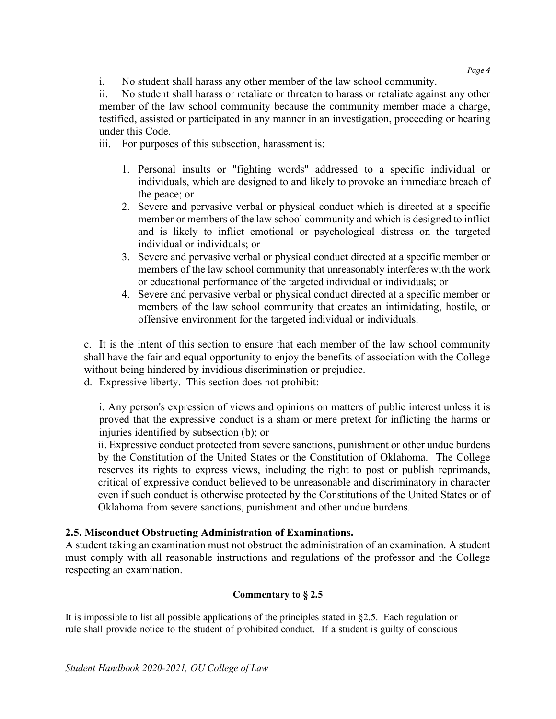i. No student shall harass any other member of the law school community.

ii. No student shall harass or retaliate or threaten to harass or retaliate against any other member of the law school community because the community member made a charge, testified, assisted or participated in any manner in an investigation, proceeding or hearing under this Code.

iii. For purposes of this subsection, harassment is:

- 1. Personal insults or "fighting words" addressed to a specific individual or individuals, which are designed to and likely to provoke an immediate breach of the peace; or
- 2. Severe and pervasive verbal or physical conduct which is directed at a specific member or members of the law school community and which is designed to inflict and is likely to inflict emotional or psychological distress on the targeted individual or individuals; or
- 3. Severe and pervasive verbal or physical conduct directed at a specific member or members of the law school community that unreasonably interferes with the work or educational performance of the targeted individual or individuals; or
- 4. Severe and pervasive verbal or physical conduct directed at a specific member or members of the law school community that creates an intimidating, hostile, or offensive environment for the targeted individual or individuals.

c. It is the intent of this section to ensure that each member of the law school community shall have the fair and equal opportunity to enjoy the benefits of association with the College without being hindered by invidious discrimination or prejudice.

d. Expressive liberty. This section does not prohibit:

i. Any person's expression of views and opinions on matters of public interest unless it is proved that the expressive conduct is a sham or mere pretext for inflicting the harms or injuries identified by subsection (b); or

ii. Expressive conduct protected from severe sanctions, punishment or other undue burdens by the Constitution of the United States or the Constitution of Oklahoma. The College reserves its rights to express views, including the right to post or publish reprimands, critical of expressive conduct believed to be unreasonable and discriminatory in character even if such conduct is otherwise protected by the Constitutions of the United States or of Oklahoma from severe sanctions, punishment and other undue burdens.

#### **2.5. Misconduct Obstructing Administration of Examinations.**

A student taking an examination must not obstruct the administration of an examination. A student must comply with all reasonable instructions and regulations of the professor and the College respecting an examination.

#### **Commentary to § 2.5**

It is impossible to list all possible applications of the principles stated in §2.5. Each regulation or rule shall provide notice to the student of prohibited conduct. If a student is guilty of conscious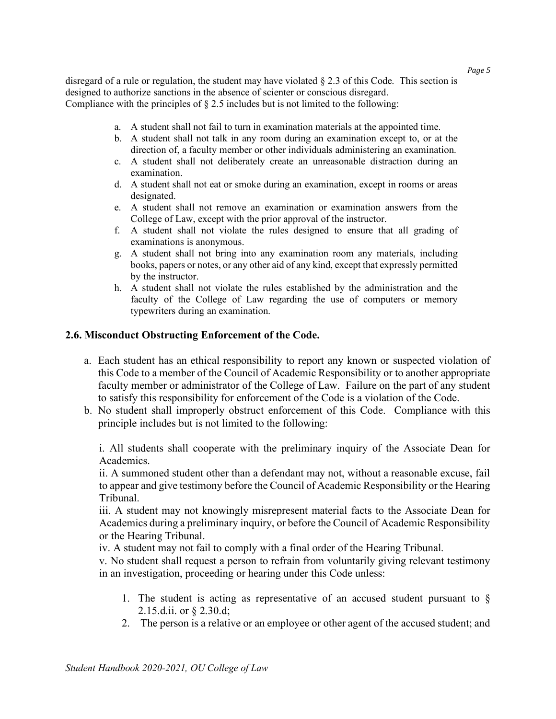disregard of a rule or regulation, the student may have violated  $\S 2.3$  of this Code. This section is designed to authorize sanctions in the absence of scienter or conscious disregard. Compliance with the principles of  $\S 2.5$  includes but is not limited to the following:

- a. A student shall not fail to turn in examination materials at the appointed time.
- b. A student shall not talk in any room during an examination except to, or at the direction of, a faculty member or other individuals administering an examination.
- c. A student shall not deliberately create an unreasonable distraction during an examination.
- d. A student shall not eat or smoke during an examination, except in rooms or areas designated.
- e. A student shall not remove an examination or examination answers from the College of Law, except with the prior approval of the instructor.
- f. A student shall not violate the rules designed to ensure that all grading of examinations is anonymous.
- g. A student shall not bring into any examination room any materials, including books, papers or notes, or any other aid of any kind, except that expressly permitted by the instructor.
- h. A student shall not violate the rules established by the administration and the faculty of the College of Law regarding the use of computers or memory typewriters during an examination.

#### **2.6. Misconduct Obstructing Enforcement of the Code.**

- a. Each student has an ethical responsibility to report any known or suspected violation of this Code to a member of the Council of Academic Responsibility or to another appropriate faculty member or administrator of the College of Law. Failure on the part of any student to satisfy this responsibility for enforcement of the Code is a violation of the Code.
- b. No student shall improperly obstruct enforcement of this Code. Compliance with this principle includes but is not limited to the following:

i. All students shall cooperate with the preliminary inquiry of the Associate Dean for Academics.

ii. A summoned student other than a defendant may not, without a reasonable excuse, fail to appear and give testimony before the Council of Academic Responsibility or the Hearing Tribunal.

iii. A student may not knowingly misrepresent material facts to the Associate Dean for Academics during a preliminary inquiry, or before the Council of Academic Responsibility or the Hearing Tribunal.

iv. A student may not fail to comply with a final order of the Hearing Tribunal.

v. No student shall request a person to refrain from voluntarily giving relevant testimony in an investigation, proceeding or hearing under this Code unless:

- 1. The student is acting as representative of an accused student pursuant to  $\S$ 2.15.d.ii. or § 2.30.d;
- 2. The person is a relative or an employee or other agent of the accused student; and

*Page 5*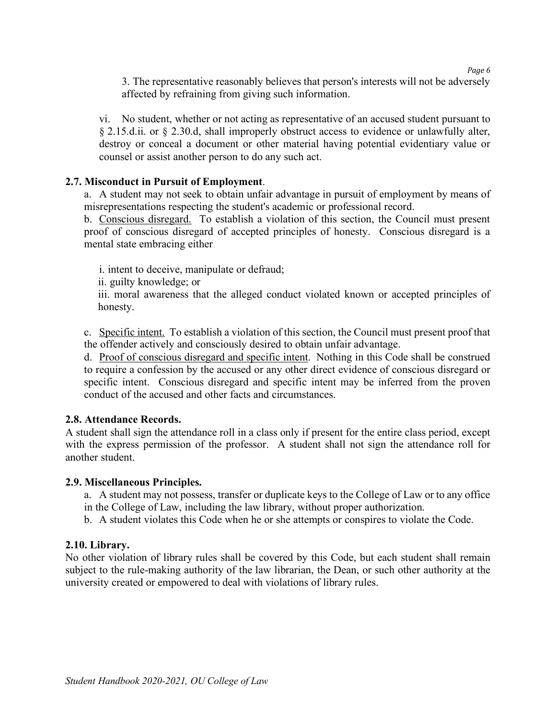*Page 6*

3. The representative reasonably believes that person's interests will not be adversely affected by refraining from giving such information.

vi. No student, whether or not acting as representative of an accused student pursuant to § 2.15.d.ii. or § 2.30.d, shall improperly obstruct access to evidence or unlawfully alter, destroy or conceal a document or other material having potential evidentiary value or counsel or assist another person to do any such act.

#### **2.7. Misconduct in Pursuit of Employment**.

a. A student may not seek to obtain unfair advantage in pursuit of employment by means of misrepresentations respecting the student's academic or professional record.

b. Conscious disregard. To establish a violation of this section, the Council must present proof of conscious disregard of accepted principles of honesty. Conscious disregard is a mental state embracing either

i. intent to deceive, manipulate or defraud;

ii. guilty knowledge; or

iii. moral awareness that the alleged conduct violated known or accepted principles of honesty.

c. Specific intent. To establish a violation of this section, the Council must present proof that the offender actively and consciously desired to obtain unfair advantage.

d. Proof of conscious disregard and specific intent. Nothing in this Code shall be construed to require a confession by the accused or any other direct evidence of conscious disregard or specific intent. Conscious disregard and specific intent may be inferred from the proven conduct of the accused and other facts and circumstances.

#### **2.8. Attendance Records.**

A student shall sign the attendance roll in a class only if present for the entire class period, except with the express permission of the professor. A student shall not sign the attendance roll for another student.

#### **2.9. Miscellaneous Principles.**

- a. A student may not possess, transfer or duplicate keys to the College of Law or to any office in the College of Law, including the law library, without proper authorization.
- b. A student violates this Code when he or she attempts or conspires to violate the Code.

## **2.10. Library.**

No other violation of library rules shall be covered by this Code, but each student shall remain subject to the rule-making authority of the law librarian, the Dean, or such other authority at the university created or empowered to deal with violations of library rules.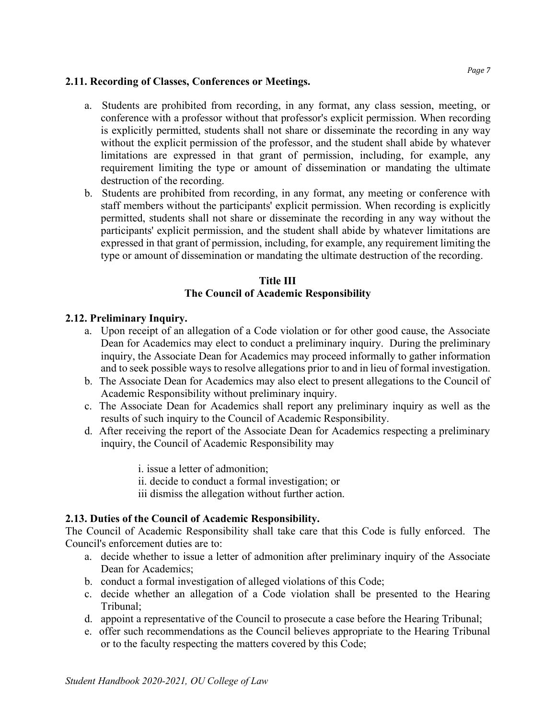#### **2.11. Recording of Classes, Conferences or Meetings.**

- a. Students are prohibited from recording, in any format, any class session, meeting, or conference with a professor without that professor's explicit permission. When recording is explicitly permitted, students shall not share or disseminate the recording in any way without the explicit permission of the professor, and the student shall abide by whatever limitations are expressed in that grant of permission, including, for example, any requirement limiting the type or amount of dissemination or mandating the ultimate destruction of the recording.
- b. Students are prohibited from recording, in any format, any meeting or conference with staff members without the participants' explicit permission. When recording is explicitly permitted, students shall not share or disseminate the recording in any way without the participants' explicit permission, and the student shall abide by whatever limitations are expressed in that grant of permission, including, for example, any requirement limiting the type or amount of dissemination or mandating the ultimate destruction of the recording.

## **Title III The Council of Academic Responsibility**

## **2.12. Preliminary Inquiry.**

- a. Upon receipt of an allegation of a Code violation or for other good cause, the Associate Dean for Academics may elect to conduct a preliminary inquiry. During the preliminary inquiry, the Associate Dean for Academics may proceed informally to gather information and to seek possible ways to resolve allegations prior to and in lieu of formal investigation.
- b. The Associate Dean for Academics may also elect to present allegations to the Council of Academic Responsibility without preliminary inquiry.
- c. The Associate Dean for Academics shall report any preliminary inquiry as well as the results of such inquiry to the Council of Academic Responsibility.
- d. After receiving the report of the Associate Dean for Academics respecting a preliminary inquiry, the Council of Academic Responsibility may

i. issue a letter of admonition;

- ii. decide to conduct a formal investigation; or
- iii dismiss the allegation without further action.

## **2.13. Duties of the Council of Academic Responsibility.**

The Council of Academic Responsibility shall take care that this Code is fully enforced. The Council's enforcement duties are to:

- a. decide whether to issue a letter of admonition after preliminary inquiry of the Associate Dean for Academics;
- b. conduct a formal investigation of alleged violations of this Code;
- c. decide whether an allegation of a Code violation shall be presented to the Hearing Tribunal;
- d. appoint a representative of the Council to prosecute a case before the Hearing Tribunal;
- e. offer such recommendations as the Council believes appropriate to the Hearing Tribunal or to the faculty respecting the matters covered by this Code;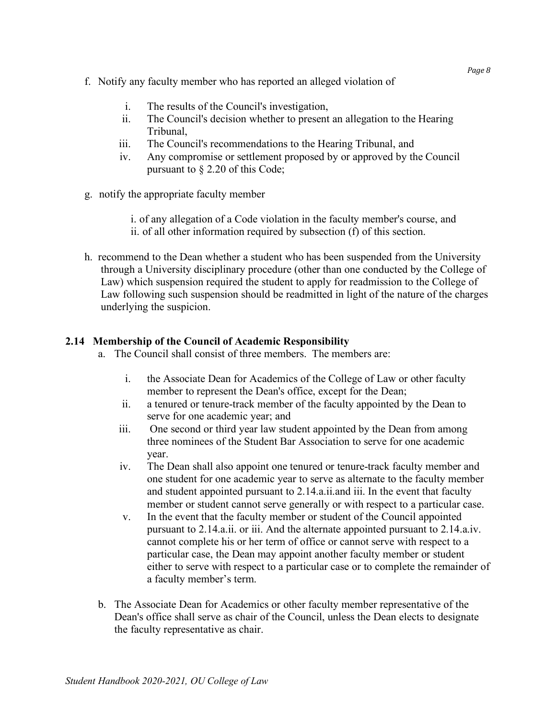- f. Notify any faculty member who has reported an alleged violation of
	- i. The results of the Council's investigation,
	- ii. The Council's decision whether to present an allegation to the Hearing Tribunal,
	- iii. The Council's recommendations to the Hearing Tribunal, and
	- iv. Any compromise or settlement proposed by or approved by the Council pursuant to § 2.20 of this Code;
- g. notify the appropriate faculty member
	- i. of any allegation of a Code violation in the faculty member's course, and ii. of all other information required by subsection (f) of this section.
- h. recommend to the Dean whether a student who has been suspended from the University through a University disciplinary procedure (other than one conducted by the College of Law) which suspension required the student to apply for readmission to the College of Law following such suspension should be readmitted in light of the nature of the charges underlying the suspicion.

## **2.14 Membership of the Council of Academic Responsibility**

- a. The Council shall consist of three members. The members are:
	- i. the Associate Dean for Academics of the College of Law or other faculty member to represent the Dean's office, except for the Dean;
	- ii. a tenured or tenure-track member of the faculty appointed by the Dean to serve for one academic year; and
	- iii. One second or third year law student appointed by the Dean from among three nominees of the Student Bar Association to serve for one academic year.
	- iv. The Dean shall also appoint one tenured or tenure-track faculty member and one student for one academic year to serve as alternate to the faculty member and student appointed pursuant to 2.14.a.ii.and iii. In the event that faculty member or student cannot serve generally or with respect to a particular case.
	- v. In the event that the faculty member or student of the Council appointed pursuant to 2.14.a.ii. or iii. And the alternate appointed pursuant to 2.14.a.iv. cannot complete his or her term of office or cannot serve with respect to a particular case, the Dean may appoint another faculty member or student either to serve with respect to a particular case or to complete the remainder of a faculty member's term.
- b. The Associate Dean for Academics or other faculty member representative of the Dean's office shall serve as chair of the Council, unless the Dean elects to designate the faculty representative as chair.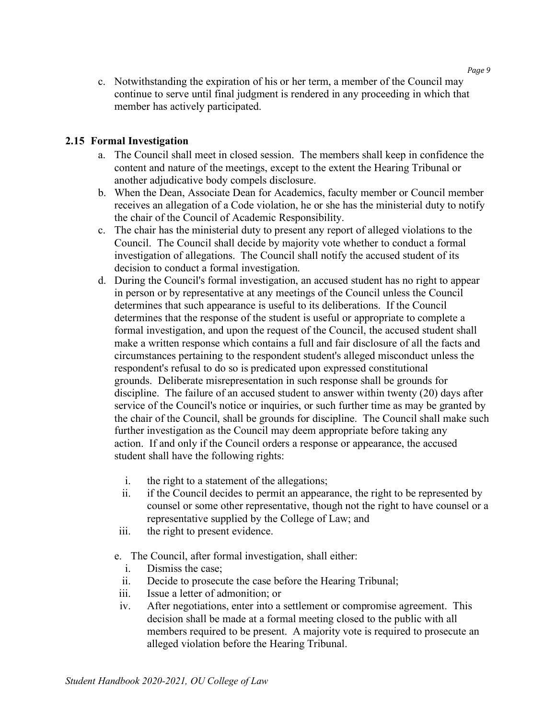c. Notwithstanding the expiration of his or her term, a member of the Council may continue to serve until final judgment is rendered in any proceeding in which that member has actively participated.

## **2.15 Formal Investigation**

- a. The Council shall meet in closed session. The members shall keep in confidence the content and nature of the meetings, except to the extent the Hearing Tribunal or another adjudicative body compels disclosure.
- b. When the Dean, Associate Dean for Academics, faculty member or Council member receives an allegation of a Code violation, he or she has the ministerial duty to notify the chair of the Council of Academic Responsibility.
- c. The chair has the ministerial duty to present any report of alleged violations to the Council. The Council shall decide by majority vote whether to conduct a formal investigation of allegations. The Council shall notify the accused student of its decision to conduct a formal investigation.
- d. During the Council's formal investigation, an accused student has no right to appear in person or by representative at any meetings of the Council unless the Council determines that such appearance is useful to its deliberations. If the Council determines that the response of the student is useful or appropriate to complete a formal investigation, and upon the request of the Council, the accused student shall make a written response which contains a full and fair disclosure of all the facts and circumstances pertaining to the respondent student's alleged misconduct unless the respondent's refusal to do so is predicated upon expressed constitutional grounds. Deliberate misrepresentation in such response shall be grounds for discipline. The failure of an accused student to answer within twenty (20) days after service of the Council's notice or inquiries, or such further time as may be granted by the chair of the Council, shall be grounds for discipline. The Council shall make such further investigation as the Council may deem appropriate before taking any action. If and only if the Council orders a response or appearance, the accused student shall have the following rights:
	- i. the right to a statement of the allegations;
	- ii. if the Council decides to permit an appearance, the right to be represented by counsel or some other representative, though not the right to have counsel or a representative supplied by the College of Law; and
	- iii. the right to present evidence.
	- e. The Council, after formal investigation, shall either:
		- i. Dismiss the case;
		- ii. Decide to prosecute the case before the Hearing Tribunal;
	- iii. Issue a letter of admonition; or
	- iv. After negotiations, enter into a settlement or compromise agreement. This decision shall be made at a formal meeting closed to the public with all members required to be present. A majority vote is required to prosecute an alleged violation before the Hearing Tribunal.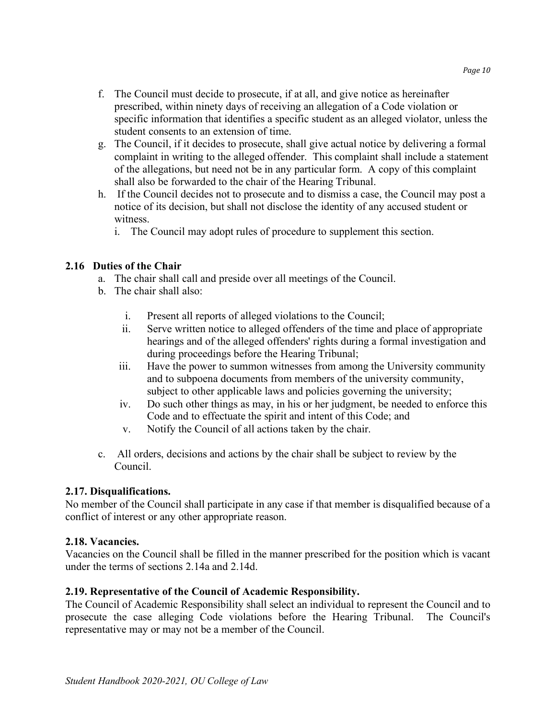- f. The Council must decide to prosecute, if at all, and give notice as hereinafter prescribed, within ninety days of receiving an allegation of a Code violation or specific information that identifies a specific student as an alleged violator, unless the student consents to an extension of time.
- g. The Council, if it decides to prosecute, shall give actual notice by delivering a formal complaint in writing to the alleged offender. This complaint shall include a statement of the allegations, but need not be in any particular form. A copy of this complaint shall also be forwarded to the chair of the Hearing Tribunal.
- h. If the Council decides not to prosecute and to dismiss a case, the Council may post a notice of its decision, but shall not disclose the identity of any accused student or witness.
	- i. The Council may adopt rules of procedure to supplement this section.

## **2.16 Duties of the Chair**

- a. The chair shall call and preside over all meetings of the Council.
- b. The chair shall also:
	- i. Present all reports of alleged violations to the Council;
	- ii. Serve written notice to alleged offenders of the time and place of appropriate hearings and of the alleged offenders' rights during a formal investigation and during proceedings before the Hearing Tribunal;
	- iii. Have the power to summon witnesses from among the University community and to subpoena documents from members of the university community, subject to other applicable laws and policies governing the university;
	- iv. Do such other things as may, in his or her judgment, be needed to enforce this Code and to effectuate the spirit and intent of this Code; and
	- v. Notify the Council of all actions taken by the chair.
- c. All orders, decisions and actions by the chair shall be subject to review by the Council.

## **2.17. Disqualifications.**

No member of the Council shall participate in any case if that member is disqualified because of a conflict of interest or any other appropriate reason.

## **2.18. Vacancies.**

Vacancies on the Council shall be filled in the manner prescribed for the position which is vacant under the terms of sections 2.14a and 2.14d.

## **2.19. Representative of the Council of Academic Responsibility.**

The Council of Academic Responsibility shall select an individual to represent the Council and to prosecute the case alleging Code violations before the Hearing Tribunal. The Council's representative may or may not be a member of the Council.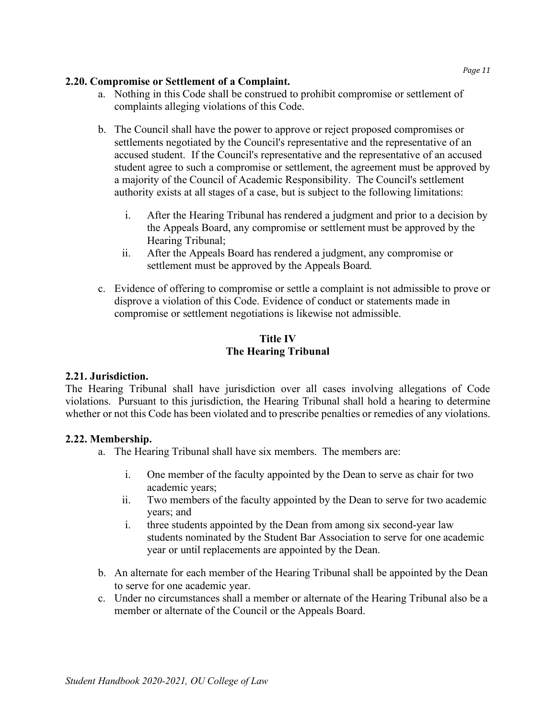#### **2.20. Compromise or Settlement of a Complaint.**

- a. Nothing in this Code shall be construed to prohibit compromise or settlement of complaints alleging violations of this Code.
- b. The Council shall have the power to approve or reject proposed compromises or settlements negotiated by the Council's representative and the representative of an accused student. If the Council's representative and the representative of an accused student agree to such a compromise or settlement, the agreement must be approved by a majority of the Council of Academic Responsibility. The Council's settlement authority exists at all stages of a case, but is subject to the following limitations:
	- i. After the Hearing Tribunal has rendered a judgment and prior to a decision by the Appeals Board, any compromise or settlement must be approved by the Hearing Tribunal;
	- ii. After the Appeals Board has rendered a judgment, any compromise or settlement must be approved by the Appeals Board.
- c. Evidence of offering to compromise or settle a complaint is not admissible to prove or disprove a violation of this Code. Evidence of conduct or statements made in compromise or settlement negotiations is likewise not admissible.

## **Title IV The Hearing Tribunal**

## **2.21. Jurisdiction.**

The Hearing Tribunal shall have jurisdiction over all cases involving allegations of Code violations. Pursuant to this jurisdiction, the Hearing Tribunal shall hold a hearing to determine whether or not this Code has been violated and to prescribe penalties or remedies of any violations.

## **2.22. Membership.**

- a. The Hearing Tribunal shall have six members. The members are:
	- i. One member of the faculty appointed by the Dean to serve as chair for two academic years;
	- ii. Two members of the faculty appointed by the Dean to serve for two academic years; and
	- i. three students appointed by the Dean from among six second-year law students nominated by the Student Bar Association to serve for one academic year or until replacements are appointed by the Dean.
- b. An alternate for each member of the Hearing Tribunal shall be appointed by the Dean to serve for one academic year.
- c. Under no circumstances shall a member or alternate of the Hearing Tribunal also be a member or alternate of the Council or the Appeals Board.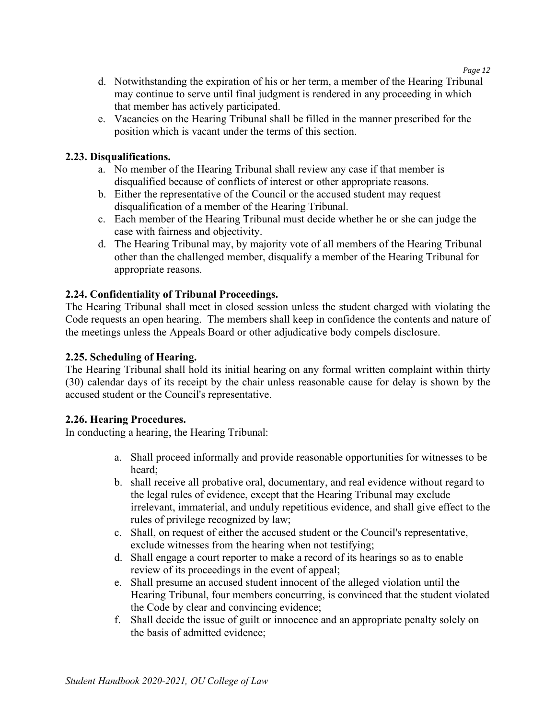- *Page 12*
- d. Notwithstanding the expiration of his or her term, a member of the Hearing Tribunal may continue to serve until final judgment is rendered in any proceeding in which that member has actively participated.
- e. Vacancies on the Hearing Tribunal shall be filled in the manner prescribed for the position which is vacant under the terms of this section.

## **2.23. Disqualifications.**

- a. No member of the Hearing Tribunal shall review any case if that member is disqualified because of conflicts of interest or other appropriate reasons.
- b. Either the representative of the Council or the accused student may request disqualification of a member of the Hearing Tribunal.
- c. Each member of the Hearing Tribunal must decide whether he or she can judge the case with fairness and objectivity.
- d. The Hearing Tribunal may, by majority vote of all members of the Hearing Tribunal other than the challenged member, disqualify a member of the Hearing Tribunal for appropriate reasons.

## **2.24. Confidentiality of Tribunal Proceedings.**

The Hearing Tribunal shall meet in closed session unless the student charged with violating the Code requests an open hearing. The members shall keep in confidence the contents and nature of the meetings unless the Appeals Board or other adjudicative body compels disclosure.

#### **2.25. Scheduling of Hearing.**

The Hearing Tribunal shall hold its initial hearing on any formal written complaint within thirty (30) calendar days of its receipt by the chair unless reasonable cause for delay is shown by the accused student or the Council's representative.

#### **2.26. Hearing Procedures.**

In conducting a hearing, the Hearing Tribunal:

- a. Shall proceed informally and provide reasonable opportunities for witnesses to be heard;
- b. shall receive all probative oral, documentary, and real evidence without regard to the legal rules of evidence, except that the Hearing Tribunal may exclude irrelevant, immaterial, and unduly repetitious evidence, and shall give effect to the rules of privilege recognized by law;
- c. Shall, on request of either the accused student or the Council's representative, exclude witnesses from the hearing when not testifying;
- d. Shall engage a court reporter to make a record of its hearings so as to enable review of its proceedings in the event of appeal;
- e. Shall presume an accused student innocent of the alleged violation until the Hearing Tribunal, four members concurring, is convinced that the student violated the Code by clear and convincing evidence;
- f. Shall decide the issue of guilt or innocence and an appropriate penalty solely on the basis of admitted evidence;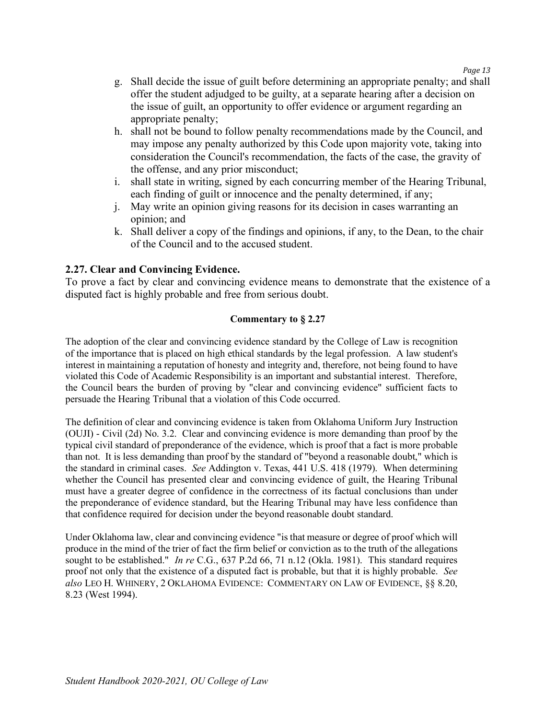- g. Shall decide the issue of guilt before determining an appropriate penalty; and shall offer the student adjudged to be guilty, at a separate hearing after a decision on the issue of guilt, an opportunity to offer evidence or argument regarding an appropriate penalty;
- h. shall not be bound to follow penalty recommendations made by the Council, and may impose any penalty authorized by this Code upon majority vote, taking into consideration the Council's recommendation, the facts of the case, the gravity of the offense, and any prior misconduct;
- i. shall state in writing, signed by each concurring member of the Hearing Tribunal, each finding of guilt or innocence and the penalty determined, if any;
- j. May write an opinion giving reasons for its decision in cases warranting an opinion; and
- k. Shall deliver a copy of the findings and opinions, if any, to the Dean, to the chair of the Council and to the accused student.

#### **2.27. Clear and Convincing Evidence.**

To prove a fact by clear and convincing evidence means to demonstrate that the existence of a disputed fact is highly probable and free from serious doubt.

#### **Commentary to § 2.27**

The adoption of the clear and convincing evidence standard by the College of Law is recognition of the importance that is placed on high ethical standards by the legal profession. A law student's interest in maintaining a reputation of honesty and integrity and, therefore, not being found to have violated this Code of Academic Responsibility is an important and substantial interest. Therefore, the Council bears the burden of proving by "clear and convincing evidence" sufficient facts to persuade the Hearing Tribunal that a violation of this Code occurred.

The definition of clear and convincing evidence is taken from Oklahoma Uniform Jury Instruction (OUJI) - Civil (2d) No. 3.2. Clear and convincing evidence is more demanding than proof by the typical civil standard of preponderance of the evidence, which is proof that a fact is more probable than not. It is less demanding than proof by the standard of "beyond a reasonable doubt," which is the standard in criminal cases. *See* Addington v. Texas, 441 U.S. 418 (1979). When determining whether the Council has presented clear and convincing evidence of guilt, the Hearing Tribunal must have a greater degree of confidence in the correctness of its factual conclusions than under the preponderance of evidence standard, but the Hearing Tribunal may have less confidence than that confidence required for decision under the beyond reasonable doubt standard.

Under Oklahoma law, clear and convincing evidence "is that measure or degree of proof which will produce in the mind of the trier of fact the firm belief or conviction as to the truth of the allegations sought to be established." *In re* C.G., 637 P.2d 66, 71 n.12 (Okla. 1981). This standard requires proof not only that the existence of a disputed fact is probable, but that it is highly probable. *See also* LEO H. WHINERY, 2 OKLAHOMA EVIDENCE: COMMENTARY ON LAW OF EVIDENCE, §§ 8.20, 8.23 (West 1994).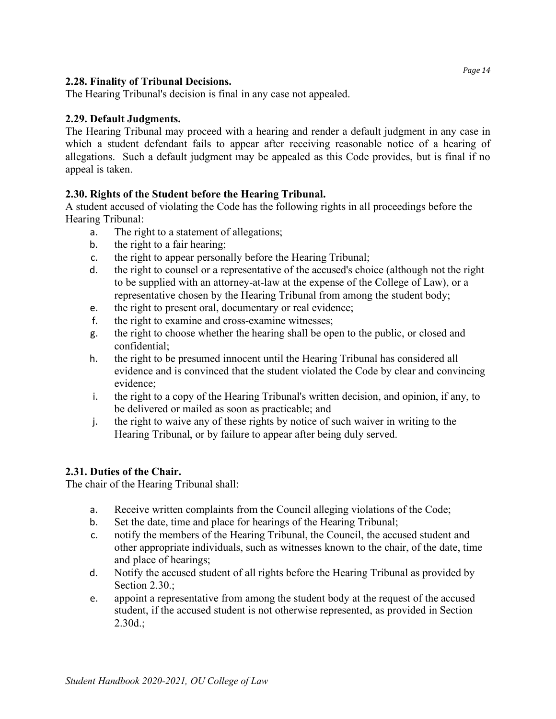### **2.28. Finality of Tribunal Decisions.**

The Hearing Tribunal's decision is final in any case not appealed.

### **2.29. Default Judgments.**

The Hearing Tribunal may proceed with a hearing and render a default judgment in any case in which a student defendant fails to appear after receiving reasonable notice of a hearing of allegations. Such a default judgment may be appealed as this Code provides, but is final if no appeal is taken.

#### **2.30. Rights of the Student before the Hearing Tribunal.**

A student accused of violating the Code has the following rights in all proceedings before the Hearing Tribunal:

- a. The right to a statement of allegations;
- b. the right to a fair hearing;
- c. the right to appear personally before the Hearing Tribunal;
- d. the right to counsel or a representative of the accused's choice (although not the right to be supplied with an attorney-at-law at the expense of the College of Law), or a representative chosen by the Hearing Tribunal from among the student body;
- e. the right to present oral, documentary or real evidence;
- f. the right to examine and cross-examine witnesses;
- g. the right to choose whether the hearing shall be open to the public, or closed and confidential;
- h. the right to be presumed innocent until the Hearing Tribunal has considered all evidence and is convinced that the student violated the Code by clear and convincing evidence;
- i. the right to a copy of the Hearing Tribunal's written decision, and opinion, if any, to be delivered or mailed as soon as practicable; and
- j. the right to waive any of these rights by notice of such waiver in writing to the Hearing Tribunal, or by failure to appear after being duly served.

## **2.31. Duties of the Chair.**

The chair of the Hearing Tribunal shall:

- a. Receive written complaints from the Council alleging violations of the Code;
- b. Set the date, time and place for hearings of the Hearing Tribunal;
- c. notify the members of the Hearing Tribunal, the Council, the accused student and other appropriate individuals, such as witnesses known to the chair, of the date, time and place of hearings;
- d. Notify the accused student of all rights before the Hearing Tribunal as provided by Section 2.30.:
- e. appoint a representative from among the student body at the request of the accused student, if the accused student is not otherwise represented, as provided in Section 2.30d.;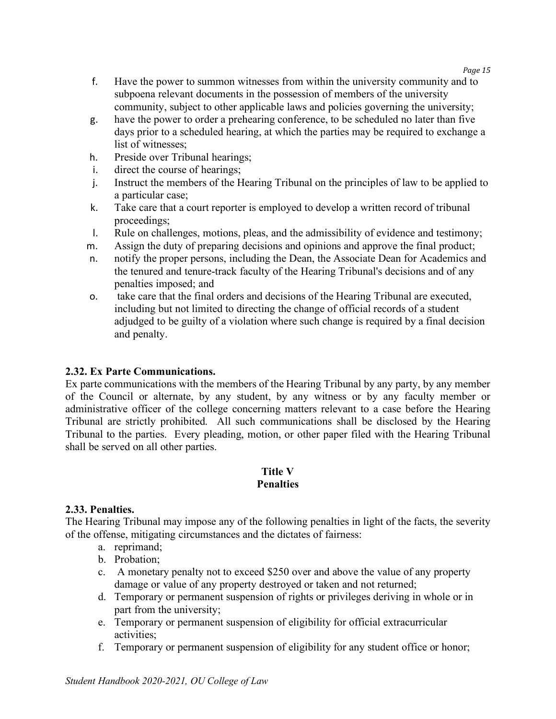- f. Have the power to summon witnesses from within the university community and to subpoena relevant documents in the possession of members of the university community, subject to other applicable laws and policies governing the university;
- g. have the power to order a prehearing conference, to be scheduled no later than five days prior to a scheduled hearing, at which the parties may be required to exchange a list of witnesses;
- h. Preside over Tribunal hearings;
- i. direct the course of hearings;
- j. Instruct the members of the Hearing Tribunal on the principles of law to be applied to a particular case;
- k. Take care that a court reporter is employed to develop a written record of tribunal proceedings;
- l. Rule on challenges, motions, pleas, and the admissibility of evidence and testimony;
- m. Assign the duty of preparing decisions and opinions and approve the final product;
- n. notify the proper persons, including the Dean, the Associate Dean for Academics and the tenured and tenure-track faculty of the Hearing Tribunal's decisions and of any penalties imposed; and
- o. take care that the final orders and decisions of the Hearing Tribunal are executed, including but not limited to directing the change of official records of a student adjudged to be guilty of a violation where such change is required by a final decision and penalty.

## **2.32. Ex Parte Communications.**

Ex parte communications with the members of the Hearing Tribunal by any party, by any member of the Council or alternate, by any student, by any witness or by any faculty member or administrative officer of the college concerning matters relevant to a case before the Hearing Tribunal are strictly prohibited. All such communications shall be disclosed by the Hearing Tribunal to the parties. Every pleading, motion, or other paper filed with the Hearing Tribunal shall be served on all other parties.

## **Title V Penalties**

## **2.33. Penalties.**

The Hearing Tribunal may impose any of the following penalties in light of the facts, the severity of the offense, mitigating circumstances and the dictates of fairness:

- a. reprimand;
- b. Probation;
- c. A monetary penalty not to exceed \$250 over and above the value of any property damage or value of any property destroyed or taken and not returned;
- d. Temporary or permanent suspension of rights or privileges deriving in whole or in part from the university;
- e. Temporary or permanent suspension of eligibility for official extracurricular activities;
- f. Temporary or permanent suspension of eligibility for any student office or honor;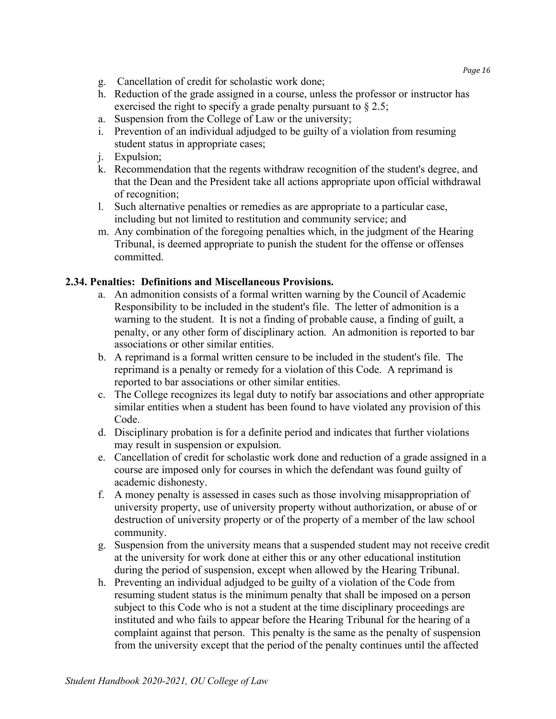- g. Cancellation of credit for scholastic work done;
- h. Reduction of the grade assigned in a course, unless the professor or instructor has exercised the right to specify a grade penalty pursuant to § 2.5;
- a. Suspension from the College of Law or the university;
- i. Prevention of an individual adjudged to be guilty of a violation from resuming student status in appropriate cases;
- j. Expulsion;
- k. Recommendation that the regents withdraw recognition of the student's degree, and that the Dean and the President take all actions appropriate upon official withdrawal of recognition;
- l. Such alternative penalties or remedies as are appropriate to a particular case, including but not limited to restitution and community service; and
- m. Any combination of the foregoing penalties which, in the judgment of the Hearing Tribunal, is deemed appropriate to punish the student for the offense or offenses committed.

## **2.34. Penalties: Definitions and Miscellaneous Provisions.**

- a. An admonition consists of a formal written warning by the Council of Academic Responsibility to be included in the student's file. The letter of admonition is a warning to the student. It is not a finding of probable cause, a finding of guilt, a penalty, or any other form of disciplinary action. An admonition is reported to bar associations or other similar entities.
- b. A reprimand is a formal written censure to be included in the student's file. The reprimand is a penalty or remedy for a violation of this Code. A reprimand is reported to bar associations or other similar entities.
- c. The College recognizes its legal duty to notify bar associations and other appropriate similar entities when a student has been found to have violated any provision of this Code.
- d. Disciplinary probation is for a definite period and indicates that further violations may result in suspension or expulsion.
- e. Cancellation of credit for scholastic work done and reduction of a grade assigned in a course are imposed only for courses in which the defendant was found guilty of academic dishonesty.
- f. A money penalty is assessed in cases such as those involving misappropriation of university property, use of university property without authorization, or abuse of or destruction of university property or of the property of a member of the law school community.
- g. Suspension from the university means that a suspended student may not receive credit at the university for work done at either this or any other educational institution during the period of suspension, except when allowed by the Hearing Tribunal.
- h. Preventing an individual adjudged to be guilty of a violation of the Code from resuming student status is the minimum penalty that shall be imposed on a person subject to this Code who is not a student at the time disciplinary proceedings are instituted and who fails to appear before the Hearing Tribunal for the hearing of a complaint against that person. This penalty is the same as the penalty of suspension from the university except that the period of the penalty continues until the affected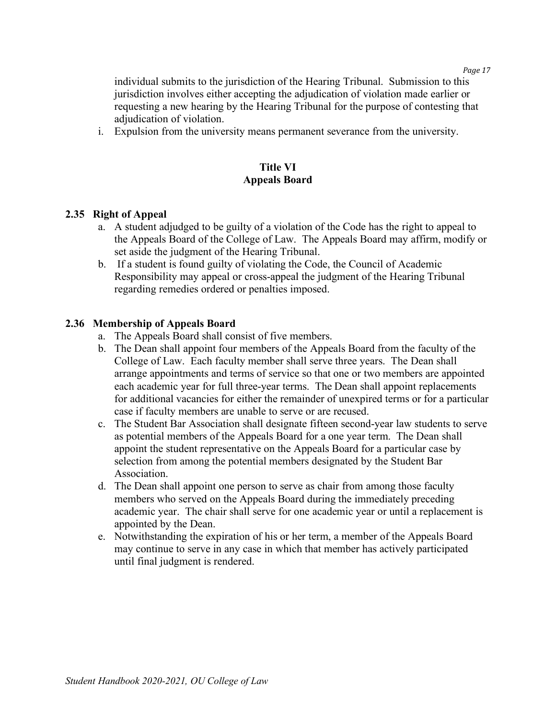individual submits to the jurisdiction of the Hearing Tribunal. Submission to this jurisdiction involves either accepting the adjudication of violation made earlier or requesting a new hearing by the Hearing Tribunal for the purpose of contesting that adjudication of violation.

i. Expulsion from the university means permanent severance from the university.

## **Title VI Appeals Board**

#### **2.35 Right of Appeal**

- a. A student adjudged to be guilty of a violation of the Code has the right to appeal to the Appeals Board of the College of Law. The Appeals Board may affirm, modify or set aside the judgment of the Hearing Tribunal.
- b. If a student is found guilty of violating the Code, the Council of Academic Responsibility may appeal or cross-appeal the judgment of the Hearing Tribunal regarding remedies ordered or penalties imposed.

#### **2.36 Membership of Appeals Board**

- a. The Appeals Board shall consist of five members.
- b. The Dean shall appoint four members of the Appeals Board from the faculty of the College of Law. Each faculty member shall serve three years. The Dean shall arrange appointments and terms of service so that one or two members are appointed each academic year for full three-year terms. The Dean shall appoint replacements for additional vacancies for either the remainder of unexpired terms or for a particular case if faculty members are unable to serve or are recused.
- c. The Student Bar Association shall designate fifteen second-year law students to serve as potential members of the Appeals Board for a one year term. The Dean shall appoint the student representative on the Appeals Board for a particular case by selection from among the potential members designated by the Student Bar Association.
- d. The Dean shall appoint one person to serve as chair from among those faculty members who served on the Appeals Board during the immediately preceding academic year. The chair shall serve for one academic year or until a replacement is appointed by the Dean.
- e. Notwithstanding the expiration of his or her term, a member of the Appeals Board may continue to serve in any case in which that member has actively participated until final judgment is rendered.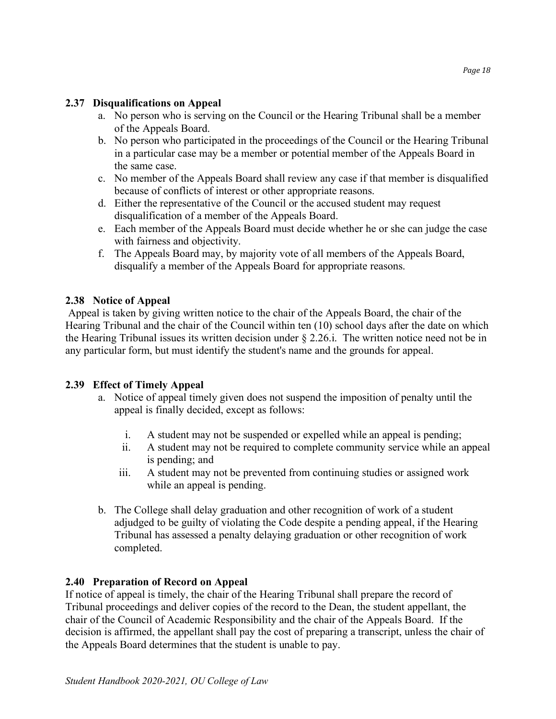#### **2.37 Disqualifications on Appeal**

- a. No person who is serving on the Council or the Hearing Tribunal shall be a member of the Appeals Board.
- b. No person who participated in the proceedings of the Council or the Hearing Tribunal in a particular case may be a member or potential member of the Appeals Board in the same case.
- c. No member of the Appeals Board shall review any case if that member is disqualified because of conflicts of interest or other appropriate reasons.
- d. Either the representative of the Council or the accused student may request disqualification of a member of the Appeals Board.
- e. Each member of the Appeals Board must decide whether he or she can judge the case with fairness and objectivity.
- f. The Appeals Board may, by majority vote of all members of the Appeals Board, disqualify a member of the Appeals Board for appropriate reasons.

## **2.38 Notice of Appeal**

Appeal is taken by giving written notice to the chair of the Appeals Board, the chair of the Hearing Tribunal and the chair of the Council within ten (10) school days after the date on which the Hearing Tribunal issues its written decision under § 2.26.i. The written notice need not be in any particular form, but must identify the student's name and the grounds for appeal.

## **2.39 Effect of Timely Appeal**

- a. Notice of appeal timely given does not suspend the imposition of penalty until the appeal is finally decided, except as follows:
	- i. A student may not be suspended or expelled while an appeal is pending;
	- ii. A student may not be required to complete community service while an appeal is pending; and
	- iii. A student may not be prevented from continuing studies or assigned work while an appeal is pending.
- b. The College shall delay graduation and other recognition of work of a student adjudged to be guilty of violating the Code despite a pending appeal, if the Hearing Tribunal has assessed a penalty delaying graduation or other recognition of work completed.

## **2.40 Preparation of Record on Appeal**

If notice of appeal is timely, the chair of the Hearing Tribunal shall prepare the record of Tribunal proceedings and deliver copies of the record to the Dean, the student appellant, the chair of the Council of Academic Responsibility and the chair of the Appeals Board. If the decision is affirmed, the appellant shall pay the cost of preparing a transcript, unless the chair of the Appeals Board determines that the student is unable to pay.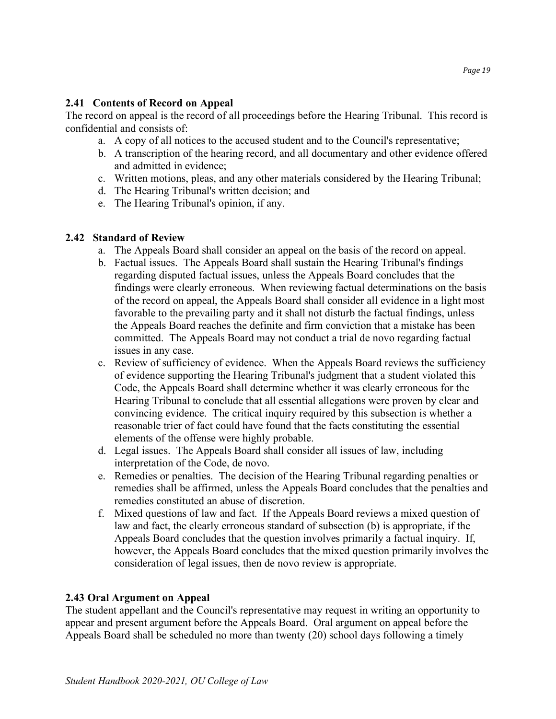### **2.41 Contents of Record on Appeal**

The record on appeal is the record of all proceedings before the Hearing Tribunal. This record is confidential and consists of:

- a. A copy of all notices to the accused student and to the Council's representative;
- b. A transcription of the hearing record, and all documentary and other evidence offered and admitted in evidence;
- c. Written motions, pleas, and any other materials considered by the Hearing Tribunal;
- d. The Hearing Tribunal's written decision; and
- e. The Hearing Tribunal's opinion, if any.

#### **2.42 Standard of Review**

- a. The Appeals Board shall consider an appeal on the basis of the record on appeal.
- b. Factual issues. The Appeals Board shall sustain the Hearing Tribunal's findings regarding disputed factual issues, unless the Appeals Board concludes that the findings were clearly erroneous. When reviewing factual determinations on the basis of the record on appeal, the Appeals Board shall consider all evidence in a light most favorable to the prevailing party and it shall not disturb the factual findings, unless the Appeals Board reaches the definite and firm conviction that a mistake has been committed. The Appeals Board may not conduct a trial de novo regarding factual issues in any case.
- c. Review of sufficiency of evidence. When the Appeals Board reviews the sufficiency of evidence supporting the Hearing Tribunal's judgment that a student violated this Code, the Appeals Board shall determine whether it was clearly erroneous for the Hearing Tribunal to conclude that all essential allegations were proven by clear and convincing evidence. The critical inquiry required by this subsection is whether a reasonable trier of fact could have found that the facts constituting the essential elements of the offense were highly probable.
- d. Legal issues. The Appeals Board shall consider all issues of law, including interpretation of the Code, de novo.
- e. Remedies or penalties. The decision of the Hearing Tribunal regarding penalties or remedies shall be affirmed, unless the Appeals Board concludes that the penalties and remedies constituted an abuse of discretion.
- f. Mixed questions of law and fact. If the Appeals Board reviews a mixed question of law and fact, the clearly erroneous standard of subsection (b) is appropriate, if the Appeals Board concludes that the question involves primarily a factual inquiry. If, however, the Appeals Board concludes that the mixed question primarily involves the consideration of legal issues, then de novo review is appropriate.

#### **2.43 Oral Argument on Appeal**

The student appellant and the Council's representative may request in writing an opportunity to appear and present argument before the Appeals Board. Oral argument on appeal before the Appeals Board shall be scheduled no more than twenty (20) school days following a timely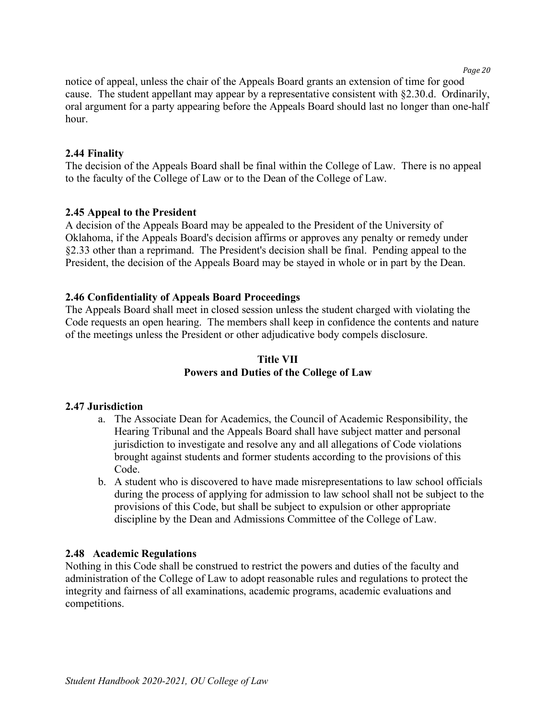*Page 20*

notice of appeal, unless the chair of the Appeals Board grants an extension of time for good cause. The student appellant may appear by a representative consistent with §2.30.d. Ordinarily, oral argument for a party appearing before the Appeals Board should last no longer than one-half hour.

#### **2.44 Finality**

The decision of the Appeals Board shall be final within the College of Law. There is no appeal to the faculty of the College of Law or to the Dean of the College of Law.

#### **2.45 Appeal to the President**

A decision of the Appeals Board may be appealed to the President of the University of Oklahoma, if the Appeals Board's decision affirms or approves any penalty or remedy under §2.33 other than a reprimand. The President's decision shall be final. Pending appeal to the President, the decision of the Appeals Board may be stayed in whole or in part by the Dean.

#### **2.46 Confidentiality of Appeals Board Proceedings**

The Appeals Board shall meet in closed session unless the student charged with violating the Code requests an open hearing. The members shall keep in confidence the contents and nature of the meetings unless the President or other adjudicative body compels disclosure.

## **Title VII Powers and Duties of the College of Law**

#### **2.47 Jurisdiction**

- a. The Associate Dean for Academics, the Council of Academic Responsibility, the Hearing Tribunal and the Appeals Board shall have subject matter and personal jurisdiction to investigate and resolve any and all allegations of Code violations brought against students and former students according to the provisions of this Code.
- b. A student who is discovered to have made misrepresentations to law school officials during the process of applying for admission to law school shall not be subject to the provisions of this Code, but shall be subject to expulsion or other appropriate discipline by the Dean and Admissions Committee of the College of Law.

#### **2.48 Academic Regulations**

Nothing in this Code shall be construed to restrict the powers and duties of the faculty and administration of the College of Law to adopt reasonable rules and regulations to protect the integrity and fairness of all examinations, academic programs, academic evaluations and competitions.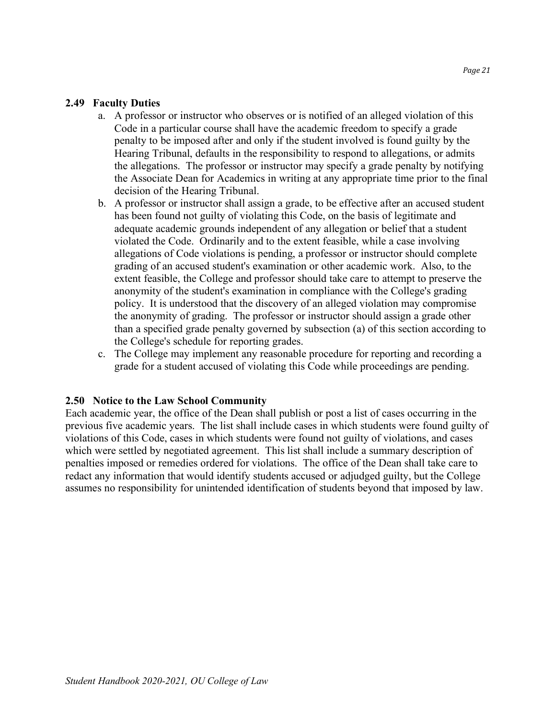#### **2.49 Faculty Duties**

- a. A professor or instructor who observes or is notified of an alleged violation of this Code in a particular course shall have the academic freedom to specify a grade penalty to be imposed after and only if the student involved is found guilty by the Hearing Tribunal, defaults in the responsibility to respond to allegations, or admits the allegations. The professor or instructor may specify a grade penalty by notifying the Associate Dean for Academics in writing at any appropriate time prior to the final decision of the Hearing Tribunal.
- b. A professor or instructor shall assign a grade, to be effective after an accused student has been found not guilty of violating this Code, on the basis of legitimate and adequate academic grounds independent of any allegation or belief that a student violated the Code. Ordinarily and to the extent feasible, while a case involving allegations of Code violations is pending, a professor or instructor should complete grading of an accused student's examination or other academic work. Also, to the extent feasible, the College and professor should take care to attempt to preserve the anonymity of the student's examination in compliance with the College's grading policy. It is understood that the discovery of an alleged violation may compromise the anonymity of grading. The professor or instructor should assign a grade other than a specified grade penalty governed by subsection (a) of this section according to the College's schedule for reporting grades.
- c. The College may implement any reasonable procedure for reporting and recording a grade for a student accused of violating this Code while proceedings are pending.

#### **2.50 Notice to the Law School Community**

Each academic year, the office of the Dean shall publish or post a list of cases occurring in the previous five academic years. The list shall include cases in which students were found guilty of violations of this Code, cases in which students were found not guilty of violations, and cases which were settled by negotiated agreement. This list shall include a summary description of penalties imposed or remedies ordered for violations. The office of the Dean shall take care to redact any information that would identify students accused or adjudged guilty, but the College assumes no responsibility for unintended identification of students beyond that imposed by law.